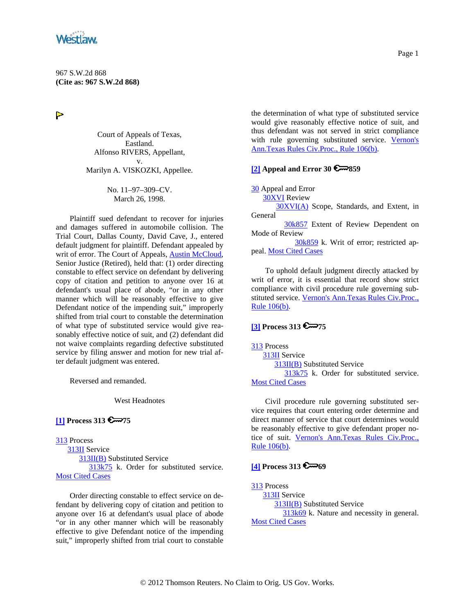<span id="page-0-0"></span>

 $\triangleright$ 

Court of Appeals of Texas, Eastland. Alfonso RIVERS, Appellant, v. Marilyn A. VISKOZKI, Appellee.

> No. 11–97–309–CV. March 26, 1998.

Plaintiff sued defendant to recover for injuries and damages suffered in automobile collision. The Trial Court, Dallas County, David Cave, J., entered default judgment for plaintiff. Defendant appealed by writ of error. The Court of Appeals, [Austin McCloud,](http://www.westlaw.com/Find/Default.wl?rs=dfa1.0&vr=2.0&DB=PROFILER-WLD&DocName=0261097001&FindType=h) Senior Justice (Retired), held that: (1) order directing constable to effect service on defendant by delivering copy of citation and petition to anyone over 16 at defendant's usual place of abode, "or in any other manner which will be reasonably effective to give Defendant notice of the impending suit," improperly shifted from trial court to constable the determination of what type of substituted service would give reasonably effective notice of suit, and (2) defendant did not waive complaints regarding defective substituted service by filing answer and motion for new trial after default judgment was entered.

Reversed and remanded.

West Headnotes

## **[\[1\]](#page-2-0) Process 313 6**75

[313](http://www.westlaw.com/KeyNumber/Default.wl?rs=dfa1.0&vr=2.0&CMD=KEY&DocName=313) Process

 [313II](http://www.westlaw.com/KeyNumber/Default.wl?rs=dfa1.0&vr=2.0&CMD=KEY&DocName=313II) Service [313II\(B\)](http://www.westlaw.com/KeyNumber/Default.wl?rs=dfa1.0&vr=2.0&CMD=KEY&DocName=313II%28B%29) Substituted Service [313k75](http://www.westlaw.com/KeyNumber/Default.wl?rs=dfa1.0&vr=2.0&CMD=KEY&DocName=313k75) k. Order for substituted service. [Most Cited Cases](http://www.westlaw.com/Digest/Default.wl?rs=dfa1.0&vr=2.0&CMD=MCC&DocName=313k75)

Order directing constable to effect service on defendant by delivering copy of citation and petition to anyone over 16 at defendant's usual place of abode "or in any other manner which will be reasonably effective to give Defendant notice of the impending suit," improperly shifted from trial court to constable

the determination of what type of substituted service would give reasonably effective notice of suit, and thus defendant was not served in strict compliance with rule governing substituted service. Vernon's [Ann.Texas Rules Civ.Proc., Rule 106\(b\)](http://www.westlaw.com/Find/Default.wl?rs=dfa1.0&vr=2.0&DB=1005302&DocName=TXRRCPR106&FindType=L).

### **[\[2\]](#page-2-0) Appeal and Error 30 859**

[30](http://www.westlaw.com/KeyNumber/Default.wl?rs=dfa1.0&vr=2.0&CMD=KEY&DocName=30) Appeal and Error

[30XVI](http://www.westlaw.com/KeyNumber/Default.wl?rs=dfa1.0&vr=2.0&CMD=KEY&DocName=30XVI) Review

 [30XVI\(A\)](http://www.westlaw.com/KeyNumber/Default.wl?rs=dfa1.0&vr=2.0&CMD=KEY&DocName=30XVI%28A%29) Scope, Standards, and Extent, in General

[30k857](http://www.westlaw.com/KeyNumber/Default.wl?rs=dfa1.0&vr=2.0&CMD=KEY&DocName=30k857) Extent of Review Dependent on Mode of Review

 [30k859](http://www.westlaw.com/KeyNumber/Default.wl?rs=dfa1.0&vr=2.0&CMD=KEY&DocName=30k859) k. Writ of error; restricted ap-peal. [Most Cited Cases](http://www.westlaw.com/Digest/Default.wl?rs=dfa1.0&vr=2.0&CMD=MCC&DocName=30k859)

To uphold default judgment directly attacked by writ of error, it is essential that record show strict compliance with civil procedure rule governing substituted service. [Vernon's Ann.Texas Rules Civ.Proc.,](http://www.westlaw.com/Find/Default.wl?rs=dfa1.0&vr=2.0&DB=1005302&DocName=TXRRCPR106&FindType=L)  [Rule 106\(b\)](http://www.westlaw.com/Find/Default.wl?rs=dfa1.0&vr=2.0&DB=1005302&DocName=TXRRCPR106&FindType=L).

### **[\[3\]](#page-2-0) Process 313 6 75**

[313](http://www.westlaw.com/KeyNumber/Default.wl?rs=dfa1.0&vr=2.0&CMD=KEY&DocName=313) Process [313II](http://www.westlaw.com/KeyNumber/Default.wl?rs=dfa1.0&vr=2.0&CMD=KEY&DocName=313II) Service [313II\(B\)](http://www.westlaw.com/KeyNumber/Default.wl?rs=dfa1.0&vr=2.0&CMD=KEY&DocName=313II%28B%29) Substituted Service [313k75](http://www.westlaw.com/KeyNumber/Default.wl?rs=dfa1.0&vr=2.0&CMD=KEY&DocName=313k75) k. Order for substituted service. [Most Cited Cases](http://www.westlaw.com/Digest/Default.wl?rs=dfa1.0&vr=2.0&CMD=MCC&DocName=313k75)

Civil procedure rule governing substituted service requires that court entering order determine and direct manner of service that court determines would be reasonably effective to give defendant proper notice of suit. Vernon's Ann.Texas Rules Civ.Proc., [Rule 106\(b\)](http://www.westlaw.com/Find/Default.wl?rs=dfa1.0&vr=2.0&DB=1005302&DocName=TXRRCPR106&FindType=L).

## **[\[4\]](#page-2-0) Process 313 600069**

[313](http://www.westlaw.com/KeyNumber/Default.wl?rs=dfa1.0&vr=2.0&CMD=KEY&DocName=313) Process [313II](http://www.westlaw.com/KeyNumber/Default.wl?rs=dfa1.0&vr=2.0&CMD=KEY&DocName=313II) Service [313II\(B\)](http://www.westlaw.com/KeyNumber/Default.wl?rs=dfa1.0&vr=2.0&CMD=KEY&DocName=313II%28B%29) Substituted Service [313k69](http://www.westlaw.com/KeyNumber/Default.wl?rs=dfa1.0&vr=2.0&CMD=KEY&DocName=313k69) k. Nature and necessity in general. **[Most Cited Cases](http://www.westlaw.com/Digest/Default.wl?rs=dfa1.0&vr=2.0&CMD=MCC&DocName=313k69)**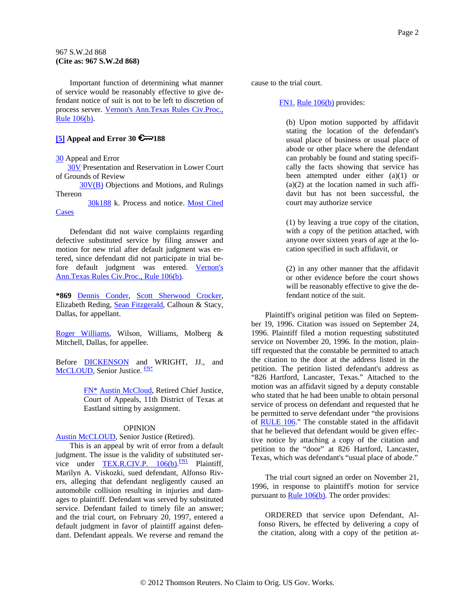<span id="page-1-0"></span>Important function of determining what manner of service would be reasonably effective to give defendant notice of suit is not to be left to discretion of process server. [Vernon's Ann.Texas Rules Civ.Proc.,](http://www.westlaw.com/Find/Default.wl?rs=dfa1.0&vr=2.0&DB=1005302&DocName=TXRRCPR106&FindType=L)  [Rule 106\(b\)](http://www.westlaw.com/Find/Default.wl?rs=dfa1.0&vr=2.0&DB=1005302&DocName=TXRRCPR106&FindType=L).

# **[5]** Appeal and Error 30  $\approx$  188

[30](http://www.westlaw.com/KeyNumber/Default.wl?rs=dfa1.0&vr=2.0&CMD=KEY&DocName=30) Appeal and Error

 [30V](http://www.westlaw.com/KeyNumber/Default.wl?rs=dfa1.0&vr=2.0&CMD=KEY&DocName=30V) Presentation and Reservation in Lower Court of Grounds of Review

 [30V\(B\)](http://www.westlaw.com/KeyNumber/Default.wl?rs=dfa1.0&vr=2.0&CMD=KEY&DocName=30V%28B%29) Objections and Motions, and Rulings Thereon

 [30k188](http://www.westlaw.com/KeyNumber/Default.wl?rs=dfa1.0&vr=2.0&CMD=KEY&DocName=30k188) k. Process and notice. [Most Cited](http://www.westlaw.com/Digest/Default.wl?rs=dfa1.0&vr=2.0&CMD=MCC&DocName=30k188)  **[Cases](http://www.westlaw.com/Digest/Default.wl?rs=dfa1.0&vr=2.0&CMD=MCC&DocName=30k188)** 

Defendant did not waive complaints regarding defective substituted service by filing answer and motion for new trial after default judgment was entered, since defendant did not participate in trial before default judgment was entered. [Vernon's](http://www.westlaw.com/Find/Default.wl?rs=dfa1.0&vr=2.0&DB=1005302&DocName=TXRRCPR106&FindType=L)  [Ann.Texas Rules Civ.Proc., Rule 106\(b\)](http://www.westlaw.com/Find/Default.wl?rs=dfa1.0&vr=2.0&DB=1005302&DocName=TXRRCPR106&FindType=L).

**\*869** [Dennis Conder,](http://www.westlaw.com/Find/Default.wl?rs=dfa1.0&vr=2.0&DB=PROFILER-WLD&DocName=0102898101&FindType=h) [Scott Sherwood Crocker,](http://www.westlaw.com/Find/Default.wl?rs=dfa1.0&vr=2.0&DB=PROFILER-WLD&DocName=0150201901&FindType=h) Elizabeth Reding, [Sean Fitzgerald](http://www.westlaw.com/Find/Default.wl?rs=dfa1.0&vr=2.0&DB=PROFILER-WLD&DocName=0208362301&FindType=h), Calhoun & Stacy, Dallas, for appellant.

[Roger Williams,](http://www.westlaw.com/Find/Default.wl?rs=dfa1.0&vr=2.0&DB=PROFILER-WLD&DocName=0146677101&FindType=h) Wilson, Williams, Molberg & Mitchell, Dallas, for appellee.

Before [DICKENSON](http://www.westlaw.com/Find/Default.wl?rs=dfa1.0&vr=2.0&DB=PROFILER-WLD&DocName=0219085801&FindType=h) and [W](#page-1-0)RIGHT, JJ., and [McCLOUD,](http://www.westlaw.com/Find/Default.wl?rs=dfa1.0&vr=2.0&DB=PROFILER-WLD&DocName=0261097001&FindType=h) Senior Justice. [FN\\*](#page-1-0)

> [FN\\*](#page-1-0) [Austin McCloud,](http://www.westlaw.com/Find/Default.wl?rs=dfa1.0&vr=2.0&DB=PROFILER-WLD&DocName=0261097001&FindType=h) Retired Chief Justice, Court of Appeals, 11th District of Texas at Eastland sitting by assignment.

#### OPINION

[Austin McCLOUD,](http://www.westlaw.com/Find/Default.wl?rs=dfa1.0&vr=2.0&DB=PROFILER-WLD&DocName=0261097001&FindType=h) Senior Justice (Retired).

This is an appeal by writ of error from a default judgment. The issue is the validity of substituted service under **TEX.R.CIV.P.**  $106(b)$ . **[FN1](#page-1-0)** Plaintiff, Marilyn A. Viskozki, sued defendant, Alfonso Rivers, alleging that defendant negligently caused an automobile collision resulting in injuries and damages to plaintiff. Defendant was served by substituted service. Defendant failed to timely file an answer; and the trial court, on February 20, 1997, entered a default judgment in favor of plaintiff against defendant. Defendant appeals. We reverse and remand the

cause to the trial court.

### [FN1.](#page-1-0) [Rule 106\(b\)](http://www.westlaw.com/Find/Default.wl?rs=dfa1.0&vr=2.0&DB=1005302&DocName=TXRRCPR106&FindType=L) provides:

(b) Upon motion supported by affidavit stating the location of the defendant's usual place of business or usual place of abode or other place where the defendant can probably be found and stating specifically the facts showing that service has been attempted under either (a)(1) or  $(a)(2)$  at the location named in such affidavit but has not been successful, the court may authorize service

(1) by leaving a true copy of the citation, with a copy of the petition attached, with anyone over sixteen years of age at the location specified in such affidavit, or

(2) in any other manner that the affidavit or other evidence before the court shows will be reasonably effective to give the defendant notice of the suit.

Plaintiff's original petition was filed on September 19, 1996. Citation was issued on September 24, 1996. Plaintiff filed a motion requesting substituted service on November 20, 1996. In the motion, plaintiff requested that the constable be permitted to attach the citation to the door at the address listed in the petition. The petition listed defendant's address as "826 Hartford, Lancaster, Texas." Attached to the motion was an affidavit signed by a deputy constable who stated that he had been unable to obtain personal service of process on defendant and requested that he be permitted to serve defendant under "the provisions of [RULE 106.](http://www.westlaw.com/Find/Default.wl?rs=dfa1.0&vr=2.0&DB=1005302&DocName=TXRRCPR106&FindType=L)" The constable stated in the affidavit that he believed that defendant would be given effective notice by attaching a copy of the citation and petition to the "door" at 826 Hartford, Lancaster, Texas, which was defendant's "usual place of abode."

The trial court signed an order on November 21, 1996, in response to plaintiff's motion for service pursuant to  $\frac{\text{Rule } 106(b)}{\text{The order provides:}}$ 

ORDERED that service upon Defendant, Alfonso Rivers, be effected by delivering a copy of the citation, along with a copy of the petition at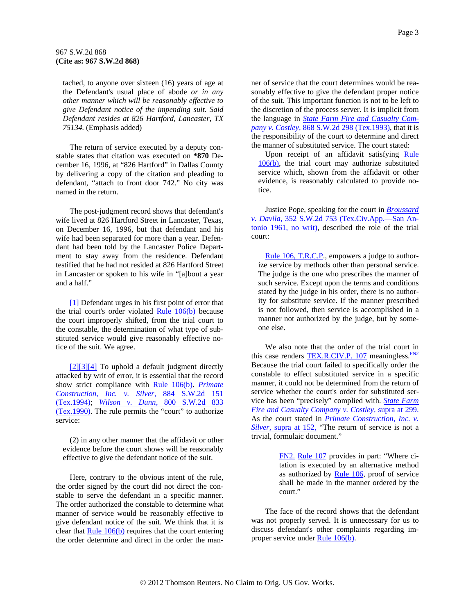<span id="page-2-0"></span>tached, to anyone over sixteen (16) years of age at the Defendant's usual place of abode *or in any other manner which will be reasonably effective to give Defendant notice of the impending suit. Said Defendant resides at 826 Hartford, Lancaster, TX 75134.* (Emphasis added)

The return of service executed by a deputy constable states that citation was executed on **\*870** December 16, 1996, at "826 Hartford" in Dallas County by delivering a copy of the citation and pleading to defendant, "attach to front door 742." No city was named in the return.

The post-judgment record shows that defendant's wife lived at 826 Hartford Street in Lancaster, Texas, on December 16, 1996, but that defendant and his wife had been separated for more than a year. Defendant had been told by the Lancaster Police Department to stay away from the residence. Defendant testified that he had not resided at 826 Hartford Street in Lancaster or spoken to his wife in "[a]bout a year and a half."

[\[1\]](#page-0-0) Defendant urges in his first point of error that the trial court's order violated [Rule 106\(b\)](http://www.westlaw.com/Find/Default.wl?rs=dfa1.0&vr=2.0&DB=1005302&DocName=TXRRCPR106&FindType=L) because the court improperly shifted, from the trial court to the constable, the determination of what type of substituted service would give reasonably effective notice of the suit. We agree.

[\[2\]\[3\]\[4\]](#page-0-0) To uphold a default judgment directly attacked by writ of error, it is essential that the record show strict compliance with [Rule 106\(b\)](http://www.westlaw.com/Find/Default.wl?rs=dfa1.0&vr=2.0&DB=1005302&DocName=TXRRCPR106&FindType=L). *[Primate](http://www.westlaw.com/Find/Default.wl?rs=dfa1.0&vr=2.0&DB=713&FindType=Y&SerialNum=1994187621)  [Construction, Inc. v. Silver,](http://www.westlaw.com/Find/Default.wl?rs=dfa1.0&vr=2.0&DB=713&FindType=Y&SerialNum=1994187621)* [884 S.W.2d 151](http://www.westlaw.com/Find/Default.wl?rs=dfa1.0&vr=2.0&DB=713&FindType=Y&SerialNum=1994187621)  [\(Tex.1994\);](http://www.westlaw.com/Find/Default.wl?rs=dfa1.0&vr=2.0&DB=713&FindType=Y&SerialNum=1994187621) *[Wilson v. Dunn,](http://www.westlaw.com/Find/Default.wl?rs=dfa1.0&vr=2.0&DB=713&FindType=Y&SerialNum=1990151898)* [800 S.W.2d 833](http://www.westlaw.com/Find/Default.wl?rs=dfa1.0&vr=2.0&DB=713&FindType=Y&SerialNum=1990151898)  [\(Tex.1990\).](http://www.westlaw.com/Find/Default.wl?rs=dfa1.0&vr=2.0&DB=713&FindType=Y&SerialNum=1990151898) The rule permits the "court" to authorize service:

(2) in any other manner that the affidavit or other evidence before the court shows will be reasonably effective to give the defendant notice of the suit.

Here, contrary to the obvious intent of the rule, the order signed by the court did not direct the constable to serve the defendant in a specific manner. The order authorized the constable to determine what manner of service would be reasonably effective to give defendant notice of the suit. We think that it is clear that [Rule 106\(b\)](http://www.westlaw.com/Find/Default.wl?rs=dfa1.0&vr=2.0&DB=1005302&DocName=TXRRCPR106&FindType=L) requires that the court entering the order determine and direct in the order the manner of service that the court determines would be reasonably effective to give the defendant proper notice of the suit. This important function is not to be left to the discretion of the process server. It is implicit from the language in *[State Farm Fire and Casualty Com](http://www.westlaw.com/Find/Default.wl?rs=dfa1.0&vr=2.0&DB=713&FindType=Y&SerialNum=1993129182)[pany v. Costley,](http://www.westlaw.com/Find/Default.wl?rs=dfa1.0&vr=2.0&DB=713&FindType=Y&SerialNum=1993129182)* [868 S.W.2d 298 \(Tex.1993\),](http://www.westlaw.com/Find/Default.wl?rs=dfa1.0&vr=2.0&DB=713&FindType=Y&SerialNum=1993129182) that it is the responsibility of the court to determine and direct the manner of substituted service. The court stated:

Upon receipt of an affidavit satisfying [Rule](http://www.westlaw.com/Find/Default.wl?rs=dfa1.0&vr=2.0&DB=1005302&DocName=TXRRCPR106&FindType=L)  [106\(b\),](http://www.westlaw.com/Find/Default.wl?rs=dfa1.0&vr=2.0&DB=1005302&DocName=TXRRCPR106&FindType=L) the trial court may authorize substituted service which, shown from the affidavit or other evidence, is reasonably calculated to provide notice.

Justice Pope, speaking for the court in *[Broussard](http://www.westlaw.com/Find/Default.wl?rs=dfa1.0&vr=2.0&DB=713&FindType=Y&SerialNum=1961130221)  [v. Davila,](http://www.westlaw.com/Find/Default.wl?rs=dfa1.0&vr=2.0&DB=713&FindType=Y&SerialNum=1961130221)* [352 S.W.2d 753 \(Tex.Civ.App.—San An](http://www.westlaw.com/Find/Default.wl?rs=dfa1.0&vr=2.0&DB=713&FindType=Y&SerialNum=1961130221)[tonio 1961, no writ\)](http://www.westlaw.com/Find/Default.wl?rs=dfa1.0&vr=2.0&DB=713&FindType=Y&SerialNum=1961130221), described the role of the trial court:

[Rule 106, T.R.C.P](http://www.westlaw.com/Find/Default.wl?rs=dfa1.0&vr=2.0&DB=1005302&DocName=TXRRCPR106&FindType=L)., empowers a judge to authorize service by methods other than personal service. The judge is the one who prescribes the manner of such service. Except upon the terms and conditions stated by the judge in his order, there is no authority for substitute service. If the manner prescribed is not followed, then service is accomplished in a manner not authorized by the judge, but by someone else.

We also note that the order of the trial court in this case renders [TEX.R.CIV.P. 107](http://www.westlaw.com/Find/Default.wl?rs=dfa1.0&vr=2.0&DB=1005302&DocName=TXRRCPR107&FindType=L) meaningless. $F_{N2}$ Because the trial court failed to specifically order the constable to effect substituted service in a specific manner, it could not be determined from the return of service whether the court's order for substituted service has been "precisely" complied with. *[State Farm](http://www.westlaw.com/Find/Default.wl?rs=dfa1.0&vr=2.0&FindType=Y&SerialNum=1993129182)  [Fire and Casualty Company v. Costley,](http://www.westlaw.com/Find/Default.wl?rs=dfa1.0&vr=2.0&FindType=Y&SerialNum=1993129182)* [supra at 299.](http://www.westlaw.com/Find/Default.wl?rs=dfa1.0&vr=2.0&FindType=Y&SerialNum=1993129182) As the court stated in *[Primate Construction, Inc. v.](http://www.westlaw.com/Find/Default.wl?rs=dfa1.0&vr=2.0&FindType=Y&SerialNum=1994187621)  [Silver,](http://www.westlaw.com/Find/Default.wl?rs=dfa1.0&vr=2.0&FindType=Y&SerialNum=1994187621)* [supra at 152,](http://www.westlaw.com/Find/Default.wl?rs=dfa1.0&vr=2.0&FindType=Y&SerialNum=1994187621) "The return of service is not a trivial, formulaic document."

> [FN2.](#page-2-0) [Rule 107](http://www.westlaw.com/Find/Default.wl?rs=dfa1.0&vr=2.0&DB=1005302&DocName=TXRRCPR107&FindType=L) provides in part: "Where citation is executed by an alternative method as authorized by **Rule 106**, proof of service shall be made in the manner ordered by the court."

The face of the record shows that the defendant was not properly served. It is unnecessary for us to discuss defendant's other complaints regarding improper service under **Rule 106(b)**.